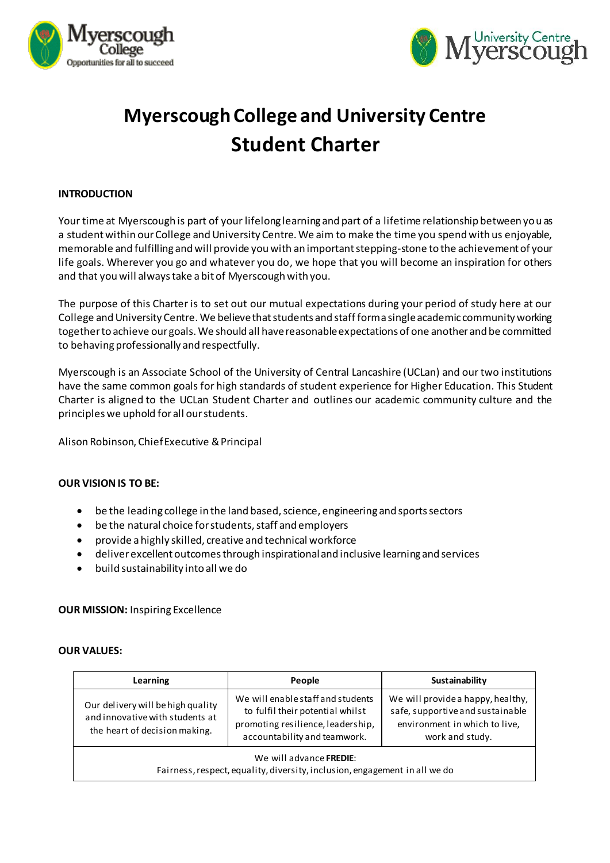



# **Myerscough College and University Centre Student Charter**

## **INTRODUCTION**

Your time at Myerscough is part of your lifelong learning and part of a lifetime relationship between you as a student within our College and University Centre. We aim to make the time you spend with us enjoyable, memorable and fulfilling and will provide you with an important stepping-stone to the achievement of your life goals. Wherever you go and whatever you do, we hope that you will become an inspiration for others and that you will always take a bit of Myerscough with you.

The purpose of this Charter is to set out our mutual expectations during your period of study here at our College and University Centre. We believe that students and staff form a single academic community working together to achieve our goals. We should all have reasonable expectations of one another and be committed to behaving professionally and respectfully.

Myerscough is an Associate School of the University of Central Lancashire (UCLan) and our two institutions have the same common goals for high standards of student experience for Higher Education. This Student Charter is aligned to the UCLan Student Charter and outlines our academic community culture and the principles we uphold for all our students.

Alison Robinson, Chief Executive & Principal

## **OUR VISIONIS TO BE:**

- be the leading college in the land based, science, engineering and sports sectors
- be the natural choice for students, staff and employers
- provide a highly skilled, creative and technical workforce
- deliver excellent outcomes through inspirational and inclusive learning and services
- build sustainability into all we do

## **OUR MISSION:** Inspiring Excellence

#### **OUR VALUES:**

| Learning                                                                                                     | People                                                                                                                                     | Sustainability                                                                                                            |
|--------------------------------------------------------------------------------------------------------------|--------------------------------------------------------------------------------------------------------------------------------------------|---------------------------------------------------------------------------------------------------------------------------|
| Our delivery will be high quality<br>and innovative with students at<br>the heart of decision making.        | We will enable staff and students<br>to fulfil their potential whilst<br>promoting resilience, leadership,<br>accountability and teamwork. | We will provide a happy, healthy,<br>safe, supportive and sustainable<br>environment in which to live,<br>work and study. |
| We will advance <b>FREDIE:</b><br>Fairness, respect, equality, diversity, inclusion, engagement in all we do |                                                                                                                                            |                                                                                                                           |